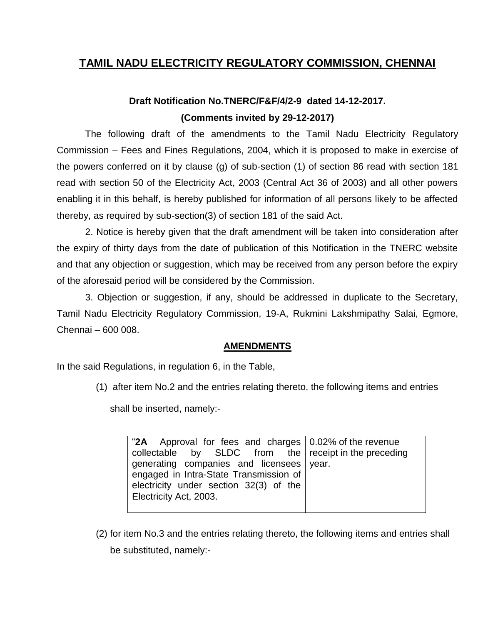## **TAMIL NADU ELECTRICITY REGULATORY COMMISSION, CHENNAI**

## **Draft Notification No.TNERC/F&F/4/2-9 dated 14-12-2017. (Comments invited by 29-12-2017)**

The following draft of the amendments to the Tamil Nadu Electricity Regulatory Commission – Fees and Fines Regulations, 2004, which it is proposed to make in exercise of the powers conferred on it by clause (g) of sub-section (1) of section 86 read with section 181 read with section 50 of the Electricity Act, 2003 (Central Act 36 of 2003) and all other powers enabling it in this behalf, is hereby published for information of all persons likely to be affected thereby, as required by sub-section(3) of section 181 of the said Act.

2. Notice is hereby given that the draft amendment will be taken into consideration after the expiry of thirty days from the date of publication of this Notification in the TNERC website and that any objection or suggestion, which may be received from any person before the expiry of the aforesaid period will be considered by the Commission.

3. Objection or suggestion, if any, should be addressed in duplicate to the Secretary, Tamil Nadu Electricity Regulatory Commission, 19-A, Rukmini Lakshmipathy Salai, Egmore, Chennai – 600 008.

## **AMENDMENTS**

In the said Regulations, in regulation 6, in the Table,

(1) after item No.2 and the entries relating thereto, the following items and entries

shall be inserted, namely:-

| "2A Approval for fees and charges $\vert$ 0.02% of the revenue |  |
|----------------------------------------------------------------|--|
| $\vert$ collectable by SLDC from the receipt in the preceding  |  |
| generating companies and licensees vear.                       |  |
| engaged in Intra-State Transmission of                         |  |
| electricity under section 32(3) of the                         |  |
| Electricity Act, 2003.                                         |  |
|                                                                |  |

(2) for item No.3 and the entries relating thereto, the following items and entries shall be substituted, namely:-